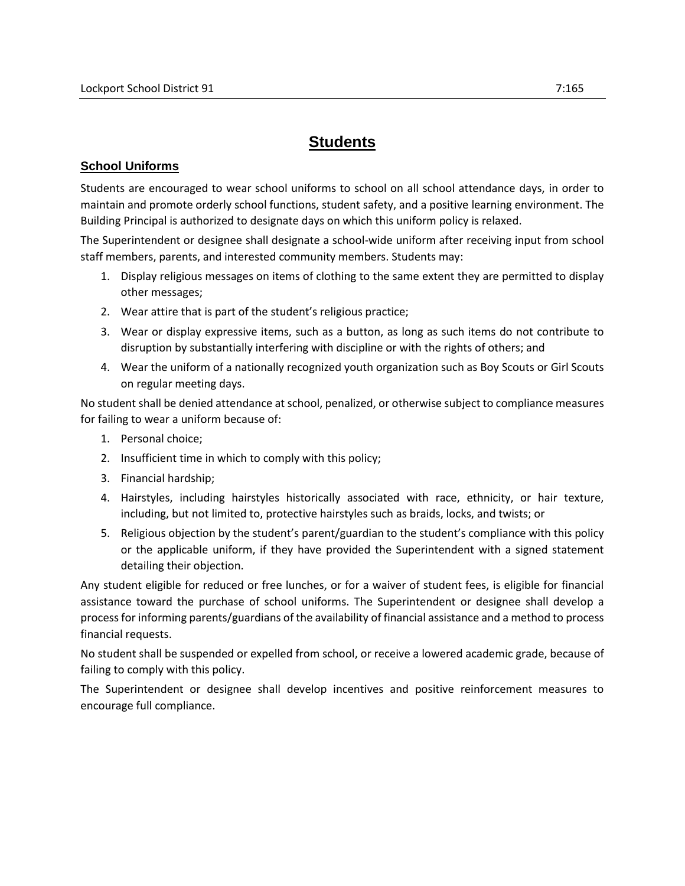## **Students**

## **School Uniforms**

Students are encouraged to wear school uniforms to school on all school attendance days, in order to maintain and promote orderly school functions, student safety, and a positive learning environment. The Building Principal is authorized to designate days on which this uniform policy is relaxed.

The Superintendent or designee shall designate a school-wide uniform after receiving input from school staff members, parents, and interested community members. Students may:

- 1. Display religious messages on items of clothing to the same extent they are permitted to display other messages;
- 2. Wear attire that is part of the student's religious practice;
- 3. Wear or display expressive items, such as a button, as long as such items do not contribute to disruption by substantially interfering with discipline or with the rights of others; and
- 4. Wear the uniform of a nationally recognized youth organization such as Boy Scouts or Girl Scouts on regular meeting days.

No student shall be denied attendance at school, penalized, or otherwise subject to compliance measures for failing to wear a uniform because of:

- 1. Personal choice;
- 2. Insufficient time in which to comply with this policy;
- 3. Financial hardship;
- 4. Hairstyles, including hairstyles historically associated with race, ethnicity, or hair texture, including, but not limited to, protective hairstyles such as braids, locks, and twists; or
- 5. Religious objection by the student's parent/guardian to the student's compliance with this policy or the applicable uniform, if they have provided the Superintendent with a signed statement detailing their objection.

Any student eligible for reduced or free lunches, or for a waiver of student fees, is eligible for financial assistance toward the purchase of school uniforms. The Superintendent or designee shall develop a process for informing parents/guardians of the availability of financial assistance and a method to process financial requests.

No student shall be suspended or expelled from school, or receive a lowered academic grade, because of failing to comply with this policy.

The Superintendent or designee shall develop incentives and positive reinforcement measures to encourage full compliance.